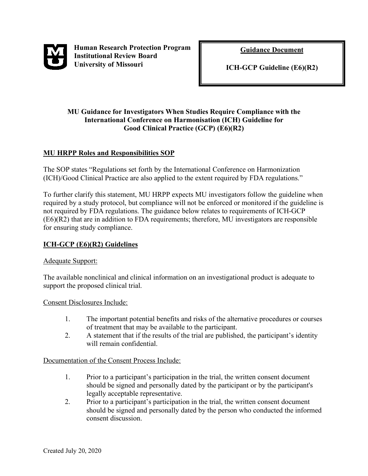

 **Human Research Protection Program Institutional Review Board University of Missouri** 

**Guidance Document**

**ICH-GCP Guideline (E6)(R2)** 

i

### **MU Guidance for Investigators When Studies Require Compliance with the International Conference on Harmonisation (ICH) Guideline for Good Clinical Practice (GCP) (E6)(R2)**

# **MU HRPP Roles and Responsibilities SOP**

The SOP states "Regulations set forth by the International Conference on Harmonization (ICH)/Good Clinical Practice are also applied to the extent required by FDA regulations."

To further clarify this statement, MU HRPP expects MU investigators follow the guideline when required by a study protocol, but compliance will not be enforced or monitored if the guideline is not required by FDA regulations. The guidance below relates to requirements of ICH-GCP (E6)(R2) that are in addition to FDA requirements; therefore, MU investigators are responsible for ensuring study compliance.

# **ICH-GCP (E6)(R2) Guidelines**

### Adequate Support:

The available nonclinical and clinical information on an investigational product is adequate to support the proposed clinical trial.

Consent Disclosures Include:

- 1. The important potential benefits and risks of the alternative procedures or courses of treatment that may be available to the participant.
- 2. A statement that if the results of the trial are published, the participant's identity will remain confidential.

### Documentation of the Consent Process Include:

- 1. Prior to a participant's participation in the trial, the written consent document should be signed and personally dated by the participant or by the participant's legally acceptable representative.
- 2. Prior to a participant's participation in the trial, the written consent document should be signed and personally dated by the person who conducted the informed consent discussion.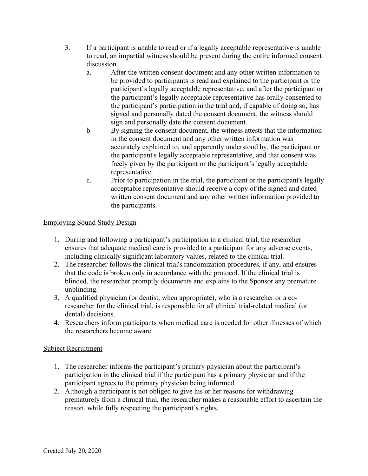- 3. If a participant is unable to read or if a legally acceptable representative is unable to read, an impartial witness should be present during the entire informed consent discussion.
	- a. After the written consent document and any other written information to be provided to participants is read and explained to the participant or the participant's legally acceptable representative, and after the participant or the participant's legally acceptable representative has orally consented to the participant's participation in the trial and, if capable of doing so, has signed and personally dated the consent document, the witness should sign and personally date the consent document.
	- b. By signing the consent document, the witness attests that the information in the consent document and any other written information was accurately explained to, and apparently understood by, the participant or the participant's legally acceptable representative, and that consent was freely given by the participant or the participant's legally acceptable representative.
	- c. Prior to participation in the trial, the participant or the participant's legally acceptable representative should receive a copy of the signed and dated written consent document and any other written information provided to the participants.

# Employing Sound Study Design

- 1. During and following a participant's participation in a clinical trial, the researcher ensures that adequate medical care is provided to a participant for any adverse events, including clinically significant laboratory values, related to the clinical trial.
- 2. The researcher follows the clinical trial's randomization procedures, if any, and ensures that the code is broken only in accordance with the protocol. If the clinical trial is blinded, the researcher promptly documents and explains to the Sponsor any premature unblinding.
- 3. A qualified physician (or dentist, when appropriate), who is a researcher or a coresearcher for the clinical trial, is responsible for all clinical trial-related medical (or dental) decisions.
- 4. Researchers inform participants when medical care is needed for other illnesses of which the researchers become aware.

### Subject Recruitment

- 1. The researcher informs the participant's primary physician about the participant's participation in the clinical trial if the participant has a primary physician and if the participant agrees to the primary physician being informed.
- 2. Although a participant is not obliged to give his or her reasons for withdrawing prematurely from a clinical trial, the researcher makes a reasonable effort to ascertain the reason, while fully respecting the participant's rights.